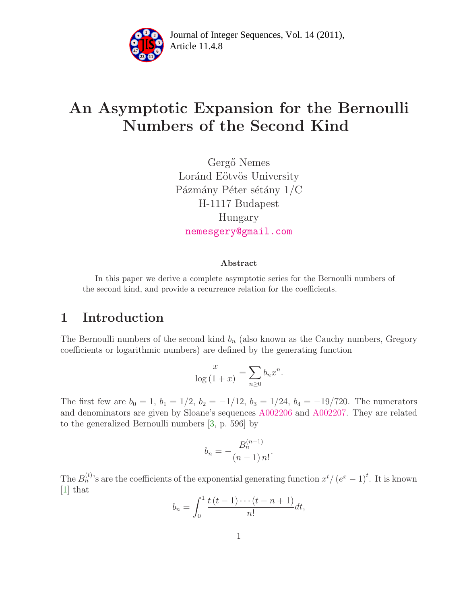

Article 11.4.8 **<sup>2</sup>** Journal of Integer Sequences, Vol. 14 (2011),

# An Asymptotic Expansion for the Bernoulli Numbers of the Second Kind

Gergő Nemes Loránd Eötvös University Pázmány Péter sétány 1/C H-1117 Budapest Hungary [nemesgery@gmail.com](mailto:nemesgery@gmail.com)

#### Abstract

In this paper we derive a complete asymptotic series for the Bernoulli numbers of the second kind, and provide a recurrence relation for the coefficients.

### 1 Introduction

The Bernoulli numbers of the second kind  $b_n$  (also known as the Cauchy numbers, Gregory coefficients or logarithmic numbers) are defined by the generating function

$$
\frac{x}{\log\left(1+x\right)} = \sum_{n\geq 0} b_n x^n.
$$

The first few are  $b_0 = 1$ ,  $b_1 = 1/2$ ,  $b_2 = -1/12$ ,  $b_3 = 1/24$ ,  $b_4 = -19/720$ . The numerators and denominators are given by Sloane's sequences [A002206](http://oeis.org/A002206) and [A002207.](http://oeis.org/A002207) They are related to the generalized Bernoulli numbers [\[3,](#page-5-0) p. 596] by

$$
b_n = -\frac{B_n^{(n-1)}}{(n-1)\,n!}
$$

.

The  $B_n^{(t)}$ 's are the coefficients of the exponential generating function  $x^t/(e^x-1)^t$ . It is known [\[1\]](#page-5-1) that

$$
b_n = \int_0^1 \frac{t(t-1)\cdots(t-n+1)}{n!} dt,
$$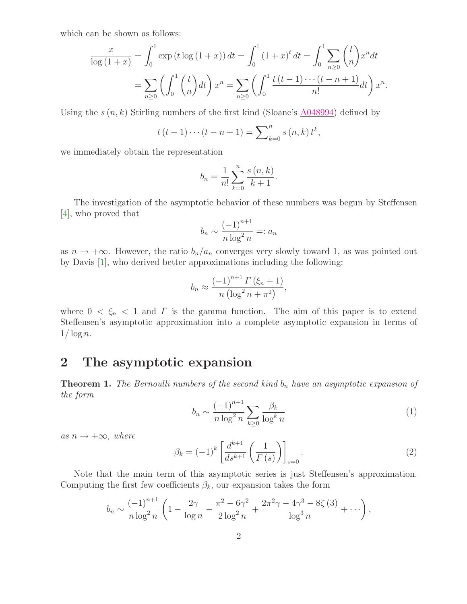which can be shown as follows:

$$
\frac{x}{\log(1+x)} = \int_0^1 \exp(t \log(1+x)) dt = \int_0^1 (1+x)^t dt = \int_0^1 \sum_{n\geq 0} {t \choose n} x^n dt
$$
  
= 
$$
\sum_{n\geq 0} \left( \int_0^1 {t \choose n} dt \right) x^n = \sum_{n\geq 0} \left( \int_0^1 \frac{t(t-1) \cdots (t-n+1)}{n!} dt \right) x^n.
$$

Using the  $s(n,k)$  Stirling numbers of the first kind (Sloane's [A048994\)](http://oeis.org/A048994) defined by

$$
t(t-1)\cdots(t-n+1) = \sum_{k=0}^{n} s(n,k) t^{k},
$$

we immediately obtain the representation

$$
b_n = \frac{1}{n!} \sum_{k=0}^{n} \frac{s(n,k)}{k+1}.
$$

The investigation of the asymptotic behavior of these numbers was begun by Steffensen [\[4\]](#page-5-2), who proved that

$$
b_n \sim \frac{(-1)^{n+1}}{n \log^2 n} =: a_n
$$

as  $n \to +\infty$ . However, the ratio  $b_n/a_n$  converges very slowly toward 1, as was pointed out by Davis [\[1\]](#page-5-1), who derived better approximations including the following:

$$
b_n \approx \frac{(-1)^{n+1} \Gamma(\xi_n + 1)}{n (\log^2 n + \pi^2)},
$$

where  $0 < \xi_n < 1$  and  $\Gamma$  is the gamma function. The aim of this paper is to extend Steffensen's asymptotic approximation into a complete asymptotic expansion in terms of  $1/\log n$ .

#### 2 The asymptotic expansion

<span id="page-1-1"></span><span id="page-1-0"></span>**Theorem 1.** The Bernoulli numbers of the second kind  $b_n$  have an asymptotic expansion of the form

$$
b_n \sim \frac{(-1)^{n+1}}{n \log^2 n} \sum_{k \ge 0} \frac{\beta_k}{\log^k n} \tag{1}
$$

<span id="page-1-2"></span>as  $n \rightarrow +\infty$ , where

$$
\beta_k = (-1)^k \left[ \frac{d^{k+1}}{ds^{k+1}} \left( \frac{1}{\Gamma(s)} \right) \right]_{s=0} . \tag{2}
$$

Note that the main term of this asymptotic series is just Steffensen's approximation. Computing the first few coefficients  $\beta_k$ , our expansion takes the form

$$
b_n \sim \frac{(-1)^{n+1}}{n \log^2 n} \left( 1 - \frac{2\gamma}{\log n} - \frac{\pi^2 - 6\gamma^2}{2 \log^2 n} + \frac{2\pi^2 \gamma - 4\gamma^3 - 8\zeta (3)}{\log^3 n} + \cdots \right),
$$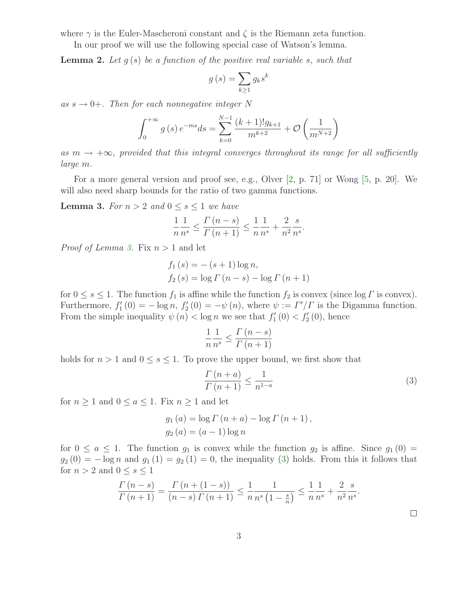where  $\gamma$  is the Euler-Mascheroni constant and  $\zeta$  is the Riemann zeta function.

In our proof we will use the following special case of Watson's lemma.

**Lemma 2.** Let  $q(s)$  be a function of the positive real variable s, such that

$$
g\left(s\right) = \sum_{k\geq 1} g_k s^k
$$

as  $s \to 0+$ . Then for each nonnegative integer N

$$
\int_0^{+\infty} g(s) e^{-ms} ds = \sum_{k=0}^{N-1} \frac{(k+1)! g_{k+1}}{m^{k+2}} + \mathcal{O}\left(\frac{1}{m^{N+2}}\right)
$$

as  $m \to +\infty$ , provided that this integral converges throughout its range for all sufficiently large m.

<span id="page-2-0"></span>For a more general version and proof see, e.g., Olver [\[2,](#page-5-3) p. 71] or Wong [\[5,](#page-5-4) p. 20]. We will also need sharp bounds for the ratio of two gamma functions.

**Lemma 3.** For  $n > 2$  and  $0 \leq s \leq 1$  we have

$$
\frac{1}{n} \frac{1}{n^{s}} \le \frac{\Gamma(n-s)}{\Gamma(n+1)} \le \frac{1}{n} \frac{1}{n^{s}} + \frac{2}{n^{2}} \frac{s}{n^{s}}.
$$

*Proof of Lemma [3.](#page-2-0)* Fix  $n > 1$  and let

$$
f_1(s) = -(s+1)\log n,
$$
  
\n $f_2(s) = \log \Gamma(n-s) - \log \Gamma(n+1)$ 

for  $0 \leq s \leq 1$ . The function  $f_1$  is affine while the function  $f_2$  is convex (since  $\log \Gamma$  is convex). Furthermore,  $f'_1(0) = -\log n$ ,  $f'_2(0) = -\psi(n)$ , where  $\psi := \Gamma'/\Gamma$  is the Digamma function. From the simple inequality  $\psi(n) < \log n$  we see that  $f'_1(0) < f'_2(0)$ , hence

<span id="page-2-1"></span>
$$
\frac{1}{n} \frac{1}{n^{s}} \le \frac{\Gamma(n-s)}{\Gamma(n+1)}
$$

holds for  $n > 1$  and  $0 \leq s \leq 1$ . To prove the upper bound, we first show that

$$
\frac{\Gamma\left(n+a\right)}{\Gamma\left(n+1\right)} \le \frac{1}{n^{1-a}}\tag{3}
$$

for  $n \geq 1$  and  $0 \leq a \leq 1$ . Fix  $n \geq 1$  and let

$$
g_1(a) = \log \Gamma(n+a) - \log \Gamma(n+1),
$$
  
\n $g_2(a) = (a-1) \log n$ 

for  $0 \le a \le 1$ . The function  $g_1$  is convex while the function  $g_2$  is affine. Since  $g_1(0)$  $g_2(0) = -\log n$  and  $g_1(1) = g_2(1) = 0$ , the inequality [\(3\)](#page-2-1) holds. From this it follows that for  $n > 2$  and  $0 \leq s \leq 1$ 

$$
\frac{\Gamma(n-s)}{\Gamma(n+1)} = \frac{\Gamma(n+(1-s))}{(n-s)\Gamma(n+1)} \le \frac{1}{n} \frac{1}{n^s \left(1 - \frac{s}{n}\right)} \le \frac{1}{n} \frac{1}{n^s} + \frac{2}{n^2} \frac{s}{n^s}.
$$

 $\Box$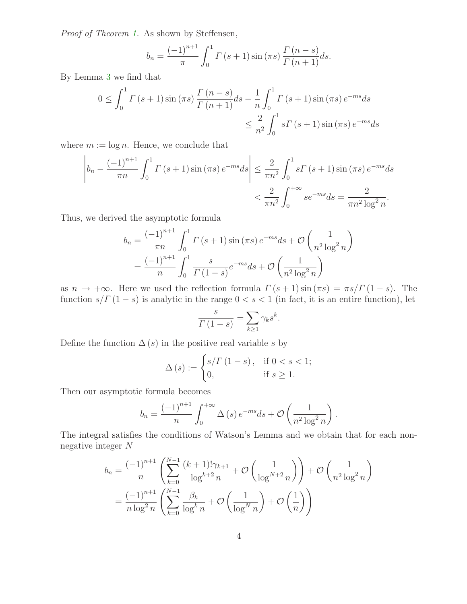Proof of Theorem [1.](#page-1-0) As shown by Steffensen,

$$
b_n = \frac{(-1)^{n+1}}{\pi} \int_0^1 \Gamma(s+1) \sin(\pi s) \frac{\Gamma(n-s)}{\Gamma(n+1)} ds.
$$

By Lemma [3](#page-2-0) we find that

$$
0 \le \int_0^1 \Gamma(s+1) \sin(\pi s) \frac{\Gamma(n-s)}{\Gamma(n+1)} ds - \frac{1}{n} \int_0^1 \Gamma(s+1) \sin(\pi s) e^{-ms} ds
$$
  

$$
\le \frac{2}{n^2} \int_0^1 s \Gamma(s+1) \sin(\pi s) e^{-ms} ds
$$

where  $m := \log n$ . Hence, we conclude that

$$
\left| b_n - \frac{(-1)^{n+1}}{\pi n} \int_0^1 \Gamma(s+1) \sin(\pi s) e^{-ms} ds \right| \le \frac{2}{\pi n^2} \int_0^1 s \Gamma(s+1) \sin(\pi s) e^{-ms} ds
$$
  
 $< \frac{2}{\pi n^2} \int_0^{+\infty} s e^{-ms} ds = \frac{2}{\pi n^2 \log^2 n}.$ 

Thus, we derived the asymptotic formula

$$
b_n = \frac{(-1)^{n+1}}{\pi n} \int_0^1 \Gamma(s+1) \sin(\pi s) e^{-ms} ds + \mathcal{O}\left(\frac{1}{n^2 \log^2 n}\right)
$$
  
=  $\frac{(-1)^{n+1}}{n} \int_0^1 \frac{s}{\Gamma(1-s)} e^{-ms} ds + \mathcal{O}\left(\frac{1}{n^2 \log^2 n}\right)$ 

as  $n \to +\infty$ . Here we used the reflection formula  $\Gamma(s+1) \sin(\pi s) = \pi s/\Gamma(1-s)$ . The function  $s/\Gamma(1-s)$  is analytic in the range  $0 < s < 1$  (in fact, it is an entire function), let

$$
\frac{s}{\Gamma(1-s)} = \sum_{k \ge 1} \gamma_k s^k.
$$

Define the function  $\Delta(s)$  in the positive real variable s by

$$
\Delta(s) := \begin{cases} s/\Gamma(1-s), & \text{if } 0 < s < 1; \\ 0, & \text{if } s \ge 1. \end{cases}
$$

Then our asymptotic formula becomes

$$
b_n = \frac{(-1)^{n+1}}{n} \int_0^{+\infty} \Delta(s) e^{-ms} ds + \mathcal{O}\left(\frac{1}{n^2 \log^2 n}\right).
$$

The integral satisfies the conditions of Watson's Lemma and we obtain that for each nonnegative integer N

$$
b_n = \frac{(-1)^{n+1}}{n} \left( \sum_{k=0}^{N-1} \frac{(k+1)!\gamma_{k+1}}{\log^{k+2} n} + \mathcal{O}\left(\frac{1}{\log^{N+2} n}\right) \right) + \mathcal{O}\left(\frac{1}{n^2 \log^2 n}\right)
$$

$$
= \frac{(-1)^{n+1}}{n \log^2 n} \left( \sum_{k=0}^{N-1} \frac{\beta_k}{\log^k n} + \mathcal{O}\left(\frac{1}{\log^N n}\right) + \mathcal{O}\left(\frac{1}{n}\right) \right)
$$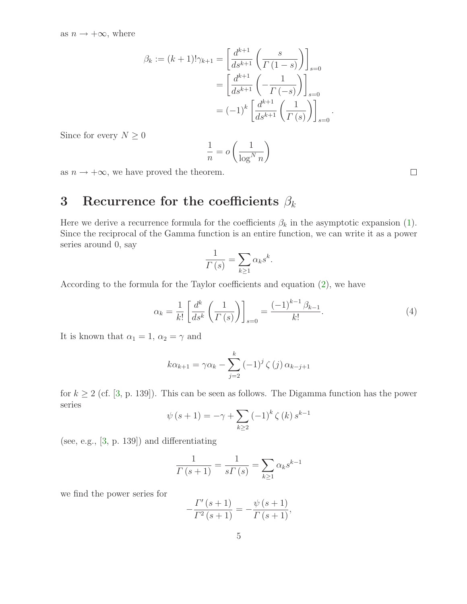$$
\beta_k := (k+1)!\gamma_{k+1} = \left[\frac{d^{k+1}}{ds^{k+1}} \left(\frac{s}{\Gamma(1-s)}\right)\right]_{s=0}
$$

$$
= \left[\frac{d^{k+1}}{ds^{k+1}} \left(-\frac{1}{\Gamma(-s)}\right)\right]_{s=0}
$$

$$
= (-1)^k \left[\frac{d^{k+1}}{ds^{k+1}} \left(\frac{1}{\Gamma(s)}\right)\right]_{s=0}
$$

Since for every  $N\geq 0$ 

$$
\frac{1}{n} = o\left(\frac{1}{\log^N n}\right)
$$

as  $n \to +\infty$ , we have proved the theorem.

## 3 Recurrence for the coefficients  $\beta_k$

Here we derive a recurrence formula for the coefficients  $\beta_k$  in the asymptotic expansion [\(1\)](#page-1-1). Since the reciprocal of the Gamma function is an entire function, we can write it as a power series around 0, say

<span id="page-4-0"></span>
$$
\frac{1}{\Gamma(s)} = \sum_{k \ge 1} \alpha_k s^k.
$$

According to the formula for the Taylor coefficients and equation [\(2\)](#page-1-2), we have

$$
\alpha_k = \frac{1}{k!} \left[ \frac{d^k}{ds^k} \left( \frac{1}{\Gamma(s)} \right) \right]_{s=0} = \frac{(-1)^{k-1} \beta_{k-1}}{k!}.
$$
 (4)

.

It is known that  $\alpha_1 = 1, \alpha_2 = \gamma$  and

$$
k\alpha_{k+1} = \gamma \alpha_k - \sum_{j=2}^k (-1)^j \zeta(j) \alpha_{k-j+1}
$$

for  $k \geq 2$  (cf. [\[3,](#page-5-0) p. 139]). This can be seen as follows. The Digamma function has the power series

$$
\psi(s + 1) = -\gamma + \sum_{k \ge 2} (-1)^k \zeta(k) s^{k-1}
$$

(see, e.g., [\[3,](#page-5-0) p. 139]) and differentiating

$$
\frac{1}{\Gamma(s+1)} = \frac{1}{s\Gamma(s)} = \sum_{k\geq 1} \alpha_k s^{k-1}
$$

we find the power series for

$$
-\frac{\Gamma'(s+1)}{\Gamma^2(s+1)} = -\frac{\psi(s+1)}{\Gamma(s+1)},
$$

 $\Box$